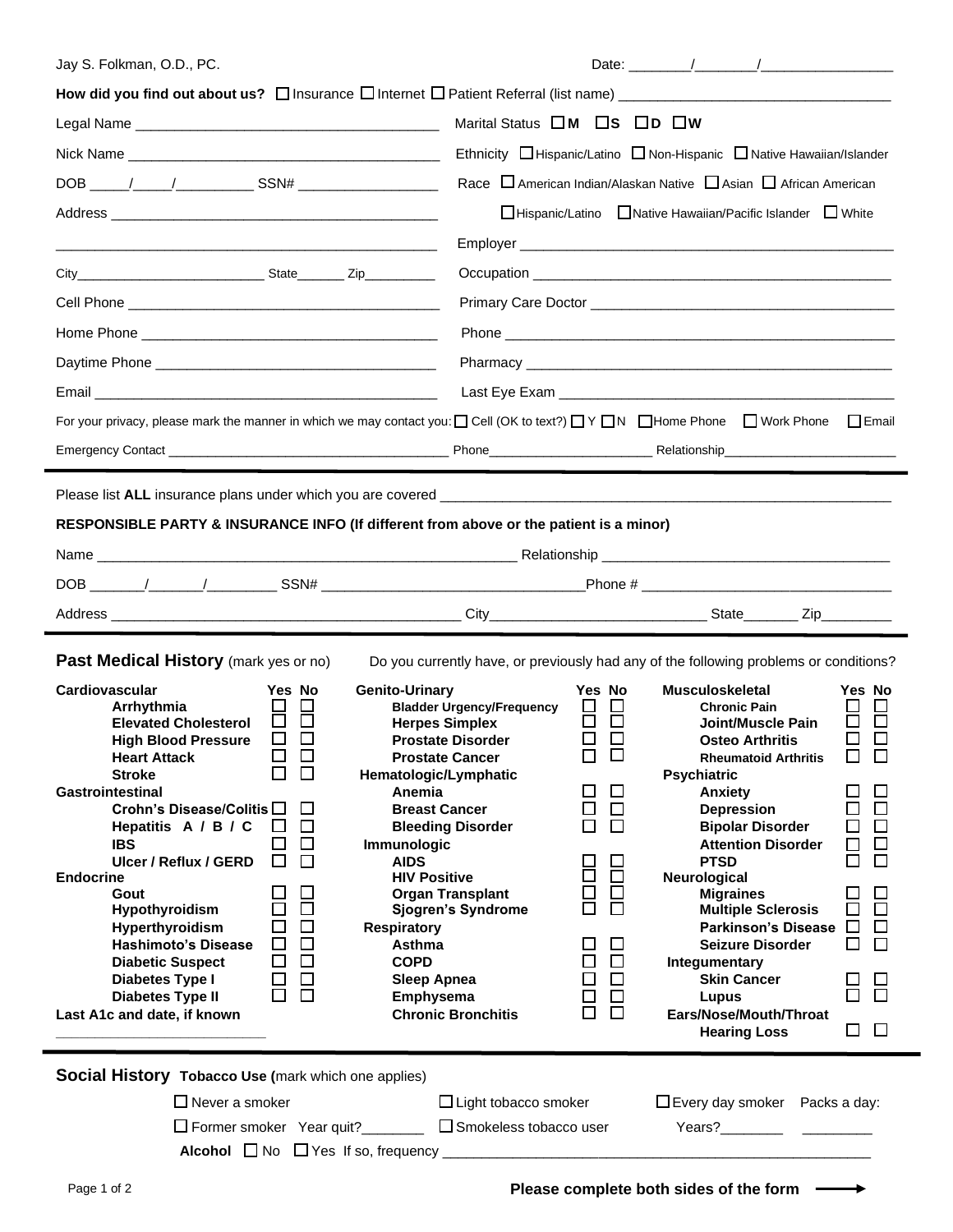| Jay S. Folkman, O.D., PC.                                                                                                                                                                                                                                                                                                                                                                                                                                                                                                                                                                                                                                                                                 | Date: $\frac{1}{2}$ / $\frac{1}{2}$ / $\frac{1}{2}$ / $\frac{1}{2}$ / $\frac{1}{2}$ / $\frac{1}{2}$ / $\frac{1}{2}$ / $\frac{1}{2}$ / $\frac{1}{2}$ / $\frac{1}{2}$ / $\frac{1}{2}$ / $\frac{1}{2}$ / $\frac{1}{2}$ / $\frac{1}{2}$ / $\frac{1}{2}$ / $\frac{1}{2}$ / $\frac{1}{2}$ / $\frac{1}{2}$ /                                                                                                                                                                                                                                                                                                                                                                                                                                                                                                                                                                                                                                                                                                                                                                                   |                                                                                                                                                                                                                               |
|-----------------------------------------------------------------------------------------------------------------------------------------------------------------------------------------------------------------------------------------------------------------------------------------------------------------------------------------------------------------------------------------------------------------------------------------------------------------------------------------------------------------------------------------------------------------------------------------------------------------------------------------------------------------------------------------------------------|-----------------------------------------------------------------------------------------------------------------------------------------------------------------------------------------------------------------------------------------------------------------------------------------------------------------------------------------------------------------------------------------------------------------------------------------------------------------------------------------------------------------------------------------------------------------------------------------------------------------------------------------------------------------------------------------------------------------------------------------------------------------------------------------------------------------------------------------------------------------------------------------------------------------------------------------------------------------------------------------------------------------------------------------------------------------------------------------|-------------------------------------------------------------------------------------------------------------------------------------------------------------------------------------------------------------------------------|
|                                                                                                                                                                                                                                                                                                                                                                                                                                                                                                                                                                                                                                                                                                           |                                                                                                                                                                                                                                                                                                                                                                                                                                                                                                                                                                                                                                                                                                                                                                                                                                                                                                                                                                                                                                                                                         |                                                                                                                                                                                                                               |
|                                                                                                                                                                                                                                                                                                                                                                                                                                                                                                                                                                                                                                                                                                           | Marital Status OM OS OD OW                                                                                                                                                                                                                                                                                                                                                                                                                                                                                                                                                                                                                                                                                                                                                                                                                                                                                                                                                                                                                                                              |                                                                                                                                                                                                                               |
|                                                                                                                                                                                                                                                                                                                                                                                                                                                                                                                                                                                                                                                                                                           | Ethnicity □ Hispanic/Latino □ Non-Hispanic □ Native Hawaiian/Islander                                                                                                                                                                                                                                                                                                                                                                                                                                                                                                                                                                                                                                                                                                                                                                                                                                                                                                                                                                                                                   |                                                                                                                                                                                                                               |
|                                                                                                                                                                                                                                                                                                                                                                                                                                                                                                                                                                                                                                                                                                           | Race $\Box$ American Indian/Alaskan Native $\Box$ Asian $\Box$ African American                                                                                                                                                                                                                                                                                                                                                                                                                                                                                                                                                                                                                                                                                                                                                                                                                                                                                                                                                                                                         |                                                                                                                                                                                                                               |
|                                                                                                                                                                                                                                                                                                                                                                                                                                                                                                                                                                                                                                                                                                           | □Hispanic/Latino □Native Hawaiian/Pacific Islander □ White                                                                                                                                                                                                                                                                                                                                                                                                                                                                                                                                                                                                                                                                                                                                                                                                                                                                                                                                                                                                                              |                                                                                                                                                                                                                               |
|                                                                                                                                                                                                                                                                                                                                                                                                                                                                                                                                                                                                                                                                                                           |                                                                                                                                                                                                                                                                                                                                                                                                                                                                                                                                                                                                                                                                                                                                                                                                                                                                                                                                                                                                                                                                                         |                                                                                                                                                                                                                               |
| City City State Zip                                                                                                                                                                                                                                                                                                                                                                                                                                                                                                                                                                                                                                                                                       |                                                                                                                                                                                                                                                                                                                                                                                                                                                                                                                                                                                                                                                                                                                                                                                                                                                                                                                                                                                                                                                                                         |                                                                                                                                                                                                                               |
|                                                                                                                                                                                                                                                                                                                                                                                                                                                                                                                                                                                                                                                                                                           |                                                                                                                                                                                                                                                                                                                                                                                                                                                                                                                                                                                                                                                                                                                                                                                                                                                                                                                                                                                                                                                                                         |                                                                                                                                                                                                                               |
|                                                                                                                                                                                                                                                                                                                                                                                                                                                                                                                                                                                                                                                                                                           |                                                                                                                                                                                                                                                                                                                                                                                                                                                                                                                                                                                                                                                                                                                                                                                                                                                                                                                                                                                                                                                                                         |                                                                                                                                                                                                                               |
|                                                                                                                                                                                                                                                                                                                                                                                                                                                                                                                                                                                                                                                                                                           | Pharmacy has a structure of the structure of the structure of the structure of the structure of the structure                                                                                                                                                                                                                                                                                                                                                                                                                                                                                                                                                                                                                                                                                                                                                                                                                                                                                                                                                                           |                                                                                                                                                                                                                               |
|                                                                                                                                                                                                                                                                                                                                                                                                                                                                                                                                                                                                                                                                                                           |                                                                                                                                                                                                                                                                                                                                                                                                                                                                                                                                                                                                                                                                                                                                                                                                                                                                                                                                                                                                                                                                                         |                                                                                                                                                                                                                               |
|                                                                                                                                                                                                                                                                                                                                                                                                                                                                                                                                                                                                                                                                                                           | For your privacy, please mark the manner in which we may contact you: $\Box$ Cell (OK to text?) $\Box$ Y $\Box$ N $\Box$ Home Phone $\Box$ Work Phone $\Box$ Email                                                                                                                                                                                                                                                                                                                                                                                                                                                                                                                                                                                                                                                                                                                                                                                                                                                                                                                      |                                                                                                                                                                                                                               |
|                                                                                                                                                                                                                                                                                                                                                                                                                                                                                                                                                                                                                                                                                                           |                                                                                                                                                                                                                                                                                                                                                                                                                                                                                                                                                                                                                                                                                                                                                                                                                                                                                                                                                                                                                                                                                         |                                                                                                                                                                                                                               |
| RESPONSIBLE PARTY & INSURANCE INFO (If different from above or the patient is a minor)                                                                                                                                                                                                                                                                                                                                                                                                                                                                                                                                                                                                                    |                                                                                                                                                                                                                                                                                                                                                                                                                                                                                                                                                                                                                                                                                                                                                                                                                                                                                                                                                                                                                                                                                         |                                                                                                                                                                                                                               |
| <b>Past Medical History</b> (mark yes or no)                                                                                                                                                                                                                                                                                                                                                                                                                                                                                                                                                                                                                                                              | Do you currently have, or previously had any of the following problems or conditions?                                                                                                                                                                                                                                                                                                                                                                                                                                                                                                                                                                                                                                                                                                                                                                                                                                                                                                                                                                                                   |                                                                                                                                                                                                                               |
| Cardiovascular<br>Yes No<br>Arrhythmia<br>ப<br>ō<br>$\Box$<br><b>Elevated Cholesterol</b><br>$\Box$<br>□<br><b>High Blood Pressure</b><br>$\Box$<br><b>Heart Attack</b><br>$\Box$<br>П<br><b>Stroke</b><br><b>Gastrointestinal</b><br>Crohn's Disease/Colitis □<br>⊔<br>$\Box$<br>Hepatitis A / B / C<br>⊔<br>$\Box$<br>□<br><b>IBS</b><br>$\Box$<br>□<br>Ulcer / Reflux / GERD<br><b>Endocrine</b><br>□<br>ப<br>Gout<br>$\Box$<br>□<br>Hypothyroidism<br>$\Box$<br>$\Box$<br>Hyperthyroidism<br>$\Box$<br>$\Box$<br><b>Hashimoto's Disease</b><br>$\Box$<br>□<br><b>Diabetic Suspect</b><br>$\Box$<br>$\Box$<br>Diabetes Type I<br>$\Box$<br>П<br><b>Diabetes Type II</b><br>Last A1c and date, if known | <b>Genito-Urinary</b><br>Yes No<br><b>Musculoskeletal</b><br><b>Bladder Urgency/Frequency</b><br><b>Chronic Pain</b><br>8<br>出<br>Joint/Muscle Pain<br><b>Herpes Simplex</b><br>□<br><b>Prostate Disorder</b><br><b>Osteo Arthritis</b><br>$\Box$<br>$\Box$<br><b>Prostate Cancer</b><br><b>Rheumatoid Arthritis</b><br>Hematologic/Lymphatic<br><b>Psychiatric</b><br>□<br>Anemia<br>Anxiety<br>$\Box$<br><b>Breast Cancer</b><br>$\Box$<br><b>Depression</b><br>市<br><b>Bleeding Disorder</b><br><b>Bipolar Disorder</b><br><b>Attention Disorder</b><br>Immunologic<br><b>AIDS</b><br><b>PTSD</b><br>8<br>$\Box$<br><b>HIV Positive</b><br>Neurological<br>2<br>2<br>□<br><b>Organ Transplant</b><br><b>Migraines</b><br>П<br>Sjogren's Syndrome<br><b>Multiple Sclerosis</b><br><b>Respiratory</b><br>Asthma<br>□<br>□<br>Seizure Disorder<br>$\Box$<br>$\Box$<br><b>COPD</b><br>Integumentary<br>$\Box$<br>$\Box$<br><b>Skin Cancer</b><br><b>Sleep Apnea</b><br>日<br>ロ<br><b>Emphysema</b><br>Lupus<br><b>Chronic Bronchitis</b><br>Ears/Nose/Mouth/Throat<br><b>Hearing Loss</b> | Yes No<br>8<br>$\Box$<br>□<br>□<br>□<br>$\Box$<br>$\Box$<br>$\Box$<br>□<br>$\Box$<br>$\Box$<br>$\Box$<br>ப<br>$\Box$<br>$\Box$<br>$\Box$<br>□<br><b>Parkinson's Disease</b><br>$\Box$<br>$\Box$<br>$\Box$<br>$\Box$<br>$\Box$ |
| <b>Social History Tobacco Use (mark which one applies)</b>                                                                                                                                                                                                                                                                                                                                                                                                                                                                                                                                                                                                                                                |                                                                                                                                                                                                                                                                                                                                                                                                                                                                                                                                                                                                                                                                                                                                                                                                                                                                                                                                                                                                                                                                                         |                                                                                                                                                                                                                               |
| $\Box$ Never a smoker                                                                                                                                                                                                                                                                                                                                                                                                                                                                                                                                                                                                                                                                                     | $\Box$ Light tobacco smoker<br>□ Former smoker Year quit?<br><u>□ Smokeless</u> tobacco user                                                                                                                                                                                                                                                                                                                                                                                                                                                                                                                                                                                                                                                                                                                                                                                                                                                                                                                                                                                            | $\Box$ Every day smoker Packs a day:                                                                                                                                                                                          |

 $\rightarrow$